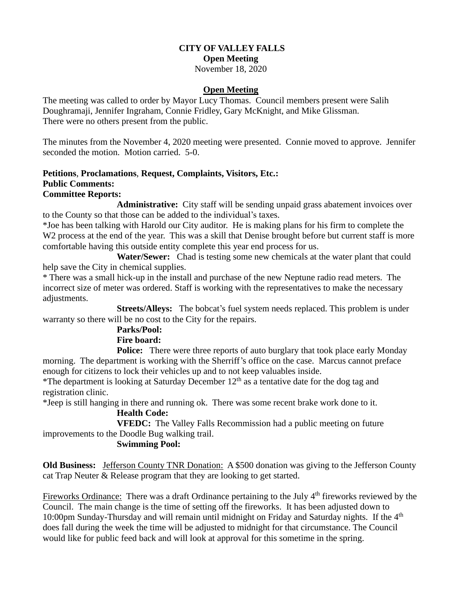# **CITY OF VALLEY FALLS Open Meeting**

November 18, 2020

#### **Open Meeting**

The meeting was called to order by Mayor Lucy Thomas. Council members present were Salih Doughramaji, Jennifer Ingraham, Connie Fridley, Gary McKnight, and Mike Glissman. There were no others present from the public.

The minutes from the November 4, 2020 meeting were presented. Connie moved to approve. Jennifer seconded the motion. Motion carried. 5-0.

#### **Petitions**, **Proclamations**, **Request, Complaints, Visitors, Etc.: Public Comments: Committee Reports:**

**Administrative:** City staff will be sending unpaid grass abatement invoices over to the County so that those can be added to the individual's taxes.

\*Joe has been talking with Harold our City auditor. He is making plans for his firm to complete the W<sub>2</sub> process at the end of the year. This was a skill that Denise brought before but current staff is more comfortable having this outside entity complete this year end process for us.

 **Water/Sewer:** Chad is testing some new chemicals at the water plant that could help save the City in chemical supplies.

\* There was a small hick-up in the install and purchase of the new Neptune radio read meters. The incorrect size of meter was ordered. Staff is working with the representatives to make the necessary adjustments.

**Streets/Alleys:** The bobcat's fuel system needs replaced. This problem is under warranty so there will be no cost to the City for the repairs.

# **Parks/Pool:**

## **Fire board:**

**Police:** There were three reports of auto burglary that took place early Monday morning. The department is working with the Sherriff's office on the case. Marcus cannot preface enough for citizens to lock their vehicles up and to not keep valuables inside.

\*The department is looking at Saturday December  $12<sup>th</sup>$  as a tentative date for the dog tag and registration clinic.

\*Jeep is still hanging in there and running ok. There was some recent brake work done to it.

## **Health Code:**

**VFEDC:** The Valley Falls Recommission had a public meeting on future improvements to the Doodle Bug walking trail.

## **Swimming Pool:**

**Old Business:** Jefferson County TNR Donation: A \$500 donation was giving to the Jefferson County cat Trap Neuter & Release program that they are looking to get started.

Fireworks Ordinance: There was a draft Ordinance pertaining to the July 4<sup>th</sup> fireworks reviewed by the Council. The main change is the time of setting off the fireworks. It has been adjusted down to 10:00pm Sunday-Thursday and will remain until midnight on Friday and Saturday nights. If the 4<sup>th</sup> does fall during the week the time will be adjusted to midnight for that circumstance. The Council would like for public feed back and will look at approval for this sometime in the spring.